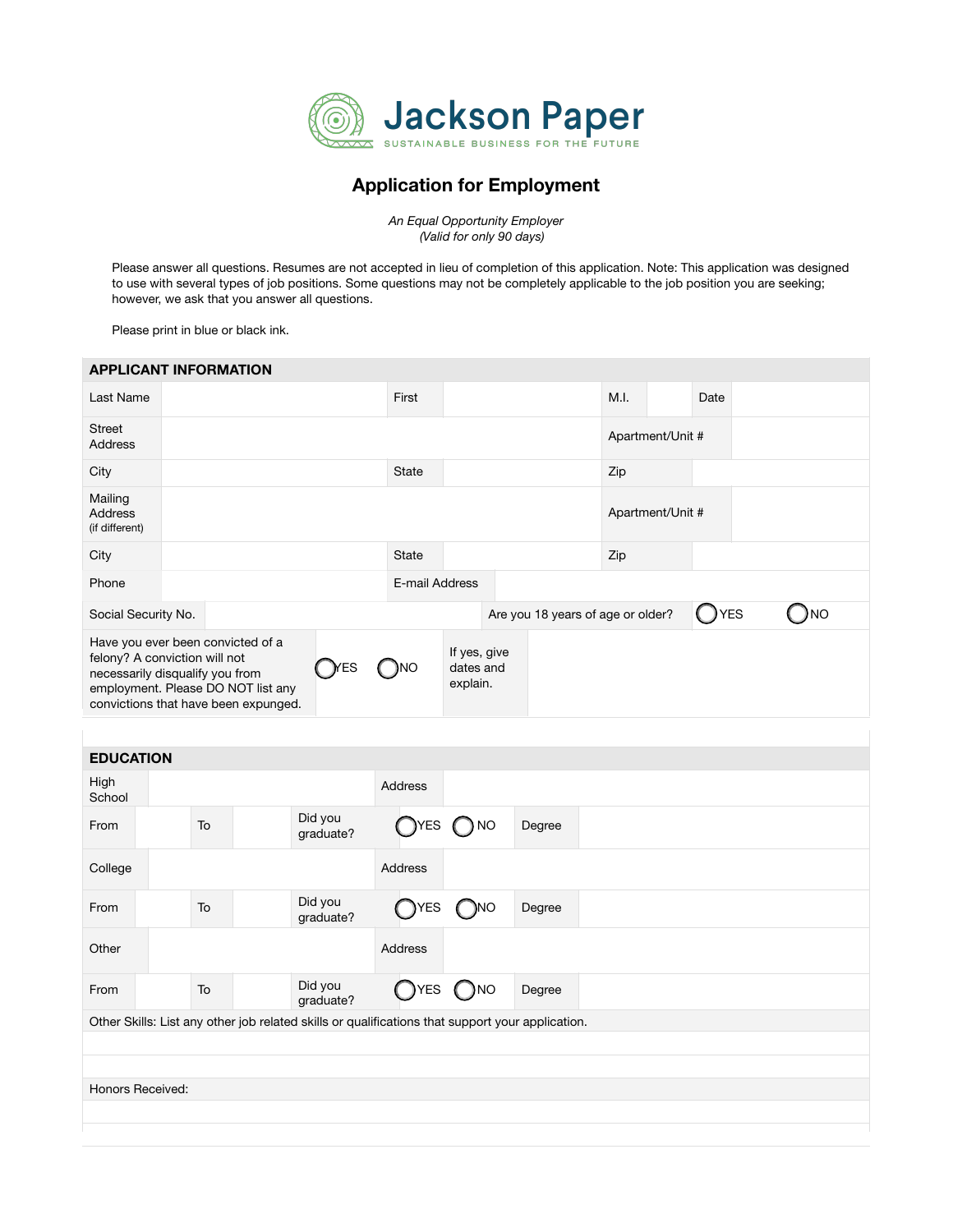

## Application for Employment

*An Equal Opportunity Employer (Valid for only 90 days)* 

Please answer all questions. Resumes are not accepted in lieu of completion of this application. Note: This application was designed to use with several types of job positions. Some questions may not be completely applicable to the job position you are seeking; however, we ask that you answer all questions.

Please print in blue or black ink.

| <b>APPLICANT INFORMATION</b>                                                                          |                                                                                                  |                      |                |                                       |                                   |                  |            |           |
|-------------------------------------------------------------------------------------------------------|--------------------------------------------------------------------------------------------------|----------------------|----------------|---------------------------------------|-----------------------------------|------------------|------------|-----------|
| Last Name                                                                                             |                                                                                                  |                      | First          |                                       |                                   | M.I.             | Date       |           |
| <b>Street</b><br><b>Address</b>                                                                       |                                                                                                  |                      |                |                                       |                                   | Apartment/Unit # |            |           |
| City                                                                                                  |                                                                                                  |                      | <b>State</b>   |                                       |                                   | Zip              |            |           |
| Mailing<br><b>Address</b><br>(if different)                                                           |                                                                                                  |                      |                |                                       |                                   | Apartment/Unit # |            |           |
| City                                                                                                  |                                                                                                  |                      | State          |                                       |                                   | Zip              |            |           |
| Phone                                                                                                 |                                                                                                  |                      | E-mail Address |                                       |                                   |                  |            |           |
| Social Security No.                                                                                   |                                                                                                  |                      |                |                                       | Are you 18 years of age or older? |                  | <b>YES</b> | <b>NO</b> |
| Have you ever been convicted of a<br>felony? A conviction will not<br>necessarily disqualify you from | employment. Please DO NOT list any<br>convictions that have been expunged.                       | <b>T</b> ES          | )NO            | If yes, give<br>dates and<br>explain. |                                   |                  |            |           |
|                                                                                                       |                                                                                                  |                      |                |                                       |                                   |                  |            |           |
| <b>EDUCATION</b>                                                                                      |                                                                                                  |                      |                |                                       |                                   |                  |            |           |
| High<br>School                                                                                        |                                                                                                  |                      | Address        |                                       |                                   |                  |            |           |
| From                                                                                                  | To                                                                                               | Did you<br>graduate? | <b>TYES</b>    | <b>NO</b>                             | Degree                            |                  |            |           |
| College                                                                                               |                                                                                                  |                      | Address        |                                       |                                   |                  |            |           |
| From                                                                                                  | To                                                                                               | Did you<br>graduate? | <b>YES</b>     | NO                                    | Degree                            |                  |            |           |
| Other                                                                                                 |                                                                                                  |                      | Address        |                                       |                                   |                  |            |           |
| From                                                                                                  | To                                                                                               | Did you<br>graduate? | YES            | NO)                                   | Degree                            |                  |            |           |
|                                                                                                       | Other Skills: List any other job related skills or qualifications that support your application. |                      |                |                                       |                                   |                  |            |           |
|                                                                                                       |                                                                                                  |                      |                |                                       |                                   |                  |            |           |
| Honors Received:                                                                                      |                                                                                                  |                      |                |                                       |                                   |                  |            |           |
|                                                                                                       |                                                                                                  |                      |                |                                       |                                   |                  |            |           |
|                                                                                                       |                                                                                                  |                      |                |                                       |                                   |                  |            |           |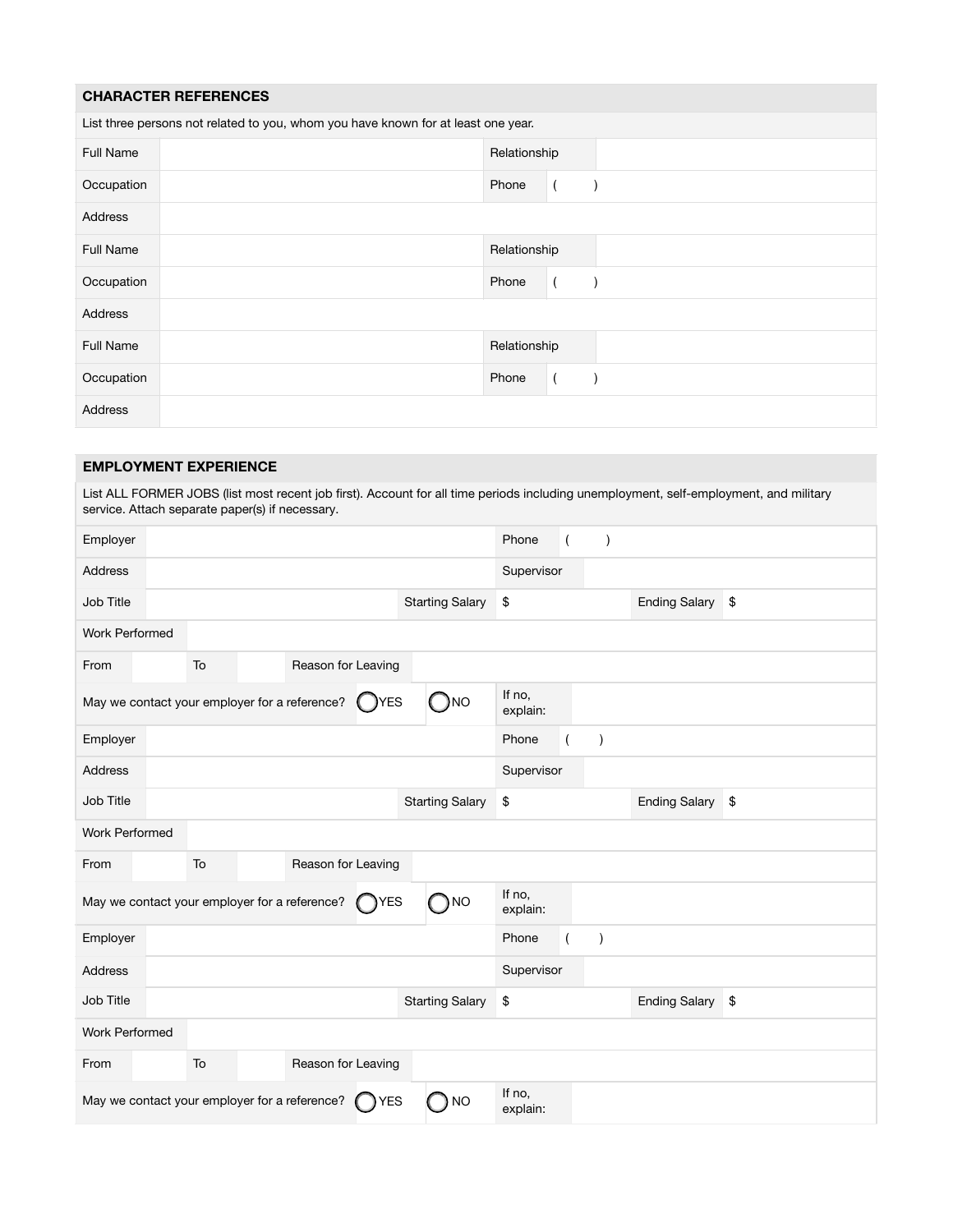## CHARACTER REFERENCES

| List three persons not related to you, whom you have known for at least one year. |  |              |  |  |  |  |  |  |
|-----------------------------------------------------------------------------------|--|--------------|--|--|--|--|--|--|
| Full Name                                                                         |  | Relationship |  |  |  |  |  |  |
| Occupation                                                                        |  | Phone        |  |  |  |  |  |  |
| Address                                                                           |  |              |  |  |  |  |  |  |
| Full Name                                                                         |  | Relationship |  |  |  |  |  |  |
| Occupation                                                                        |  | Phone        |  |  |  |  |  |  |
| Address                                                                           |  |              |  |  |  |  |  |  |
| <b>Full Name</b>                                                                  |  | Relationship |  |  |  |  |  |  |
| Occupation                                                                        |  | Phone        |  |  |  |  |  |  |
| Address                                                                           |  |              |  |  |  |  |  |  |

## EMPLOYMENT EXPERIENCE

List ALL FORMER JOBS (list most recent job first). Account for all time periods including unemployment, self-employment, and military service. Attach separate paper(s) if necessary.

| Employer                                                                                        |    |                    |                        | Phone              |  | $\lambda$ |                  |  |  |  |
|-------------------------------------------------------------------------------------------------|----|--------------------|------------------------|--------------------|--|-----------|------------------|--|--|--|
| Address                                                                                         |    |                    |                        | Supervisor         |  |           |                  |  |  |  |
| Job Title                                                                                       |    |                    | <b>Starting Salary</b> | \$                 |  |           | Ending Salary \$ |  |  |  |
| <b>Work Performed</b>                                                                           |    |                    |                        |                    |  |           |                  |  |  |  |
| From                                                                                            | To | Reason for Leaving |                        |                    |  |           |                  |  |  |  |
| May we contact your employer for a reference?                                                   |    | ( ) YES            | )NO                    | If no,<br>explain: |  |           |                  |  |  |  |
| Employer                                                                                        |    |                    |                        | Phone              |  | $\lambda$ |                  |  |  |  |
| <b>Address</b>                                                                                  |    |                    |                        | Supervisor         |  |           |                  |  |  |  |
| Job Title                                                                                       |    |                    | <b>Starting Salary</b> | \$                 |  |           | Ending Salary \$ |  |  |  |
| <b>Work Performed</b>                                                                           |    |                    |                        |                    |  |           |                  |  |  |  |
| From                                                                                            | To | Reason for Leaving |                        |                    |  |           |                  |  |  |  |
| May we contact your employer for a reference?                                                   |    | $\bigcap$ YES      | ) NO                   | If no,<br>explain: |  |           |                  |  |  |  |
| Employer                                                                                        |    |                    |                        | Phone              |  | $\lambda$ |                  |  |  |  |
| Address                                                                                         |    |                    |                        | Supervisor         |  |           |                  |  |  |  |
| Job Title                                                                                       |    |                    | <b>Starting Salary</b> | \$                 |  |           | Ending Salary \$ |  |  |  |
| <b>Work Performed</b>                                                                           |    |                    |                        |                    |  |           |                  |  |  |  |
| From                                                                                            | To | Reason for Leaving |                        |                    |  |           |                  |  |  |  |
| If no,<br>May we contact your employer for a reference?<br><b>TYES</b><br><b>NO</b><br>explain: |    |                    |                        |                    |  |           |                  |  |  |  |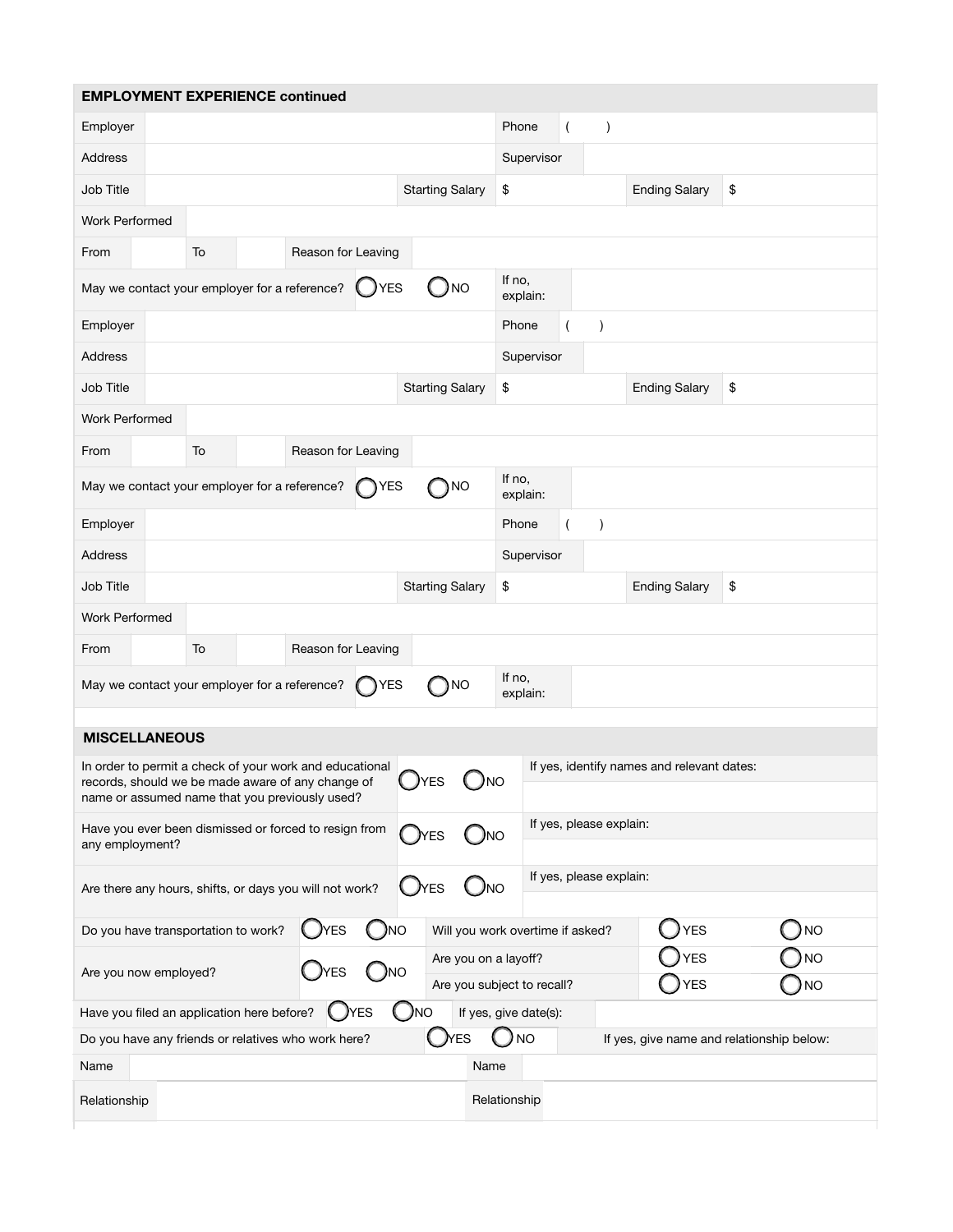|                                                                                       | <b>EMPLOYMENT EXPERIENCE continued</b>                                                              |                    |             |                                                                                         |                       |                         |                |                         |                                            |                                           |  |  |
|---------------------------------------------------------------------------------------|-----------------------------------------------------------------------------------------------------|--------------------|-------------|-----------------------------------------------------------------------------------------|-----------------------|-------------------------|----------------|-------------------------|--------------------------------------------|-------------------------------------------|--|--|
| Employer                                                                              |                                                                                                     |                    |             |                                                                                         | Phone                 |                         | $\overline{(}$ | $\lambda$               |                                            |                                           |  |  |
| <b>Address</b>                                                                        |                                                                                                     |                    |             |                                                                                         |                       | Supervisor              |                |                         |                                            |                                           |  |  |
| Job Title                                                                             |                                                                                                     |                    |             | <b>Starting Salary</b>                                                                  | \$                    |                         |                |                         | <b>Ending Salary</b>                       | \$                                        |  |  |
| <b>Work Performed</b>                                                                 |                                                                                                     |                    |             |                                                                                         |                       |                         |                |                         |                                            |                                           |  |  |
| From                                                                                  | To                                                                                                  | Reason for Leaving |             |                                                                                         |                       |                         |                |                         |                                            |                                           |  |  |
|                                                                                       | May we contact your employer for a reference?                                                       |                    | DYES        | <b>NO</b>                                                                               |                       | If no,<br>explain:      |                |                         |                                            |                                           |  |  |
| Employer                                                                              |                                                                                                     |                    |             |                                                                                         |                       | Phone<br>$\lambda$      |                |                         |                                            |                                           |  |  |
| <b>Address</b>                                                                        |                                                                                                     |                    |             |                                                                                         |                       | Supervisor              |                |                         |                                            |                                           |  |  |
| Job Title                                                                             |                                                                                                     |                    |             | <b>Starting Salary</b>                                                                  | \$                    |                         |                |                         | <b>Ending Salary</b>                       | \$                                        |  |  |
| <b>Work Performed</b>                                                                 |                                                                                                     |                    |             |                                                                                         |                       |                         |                |                         |                                            |                                           |  |  |
| From                                                                                  | To                                                                                                  | Reason for Leaving |             |                                                                                         |                       |                         |                |                         |                                            |                                           |  |  |
|                                                                                       | May we contact your employer for a reference?                                                       |                    | <b>TYES</b> | <b>NO</b>                                                                               | If no,                | explain:                |                |                         |                                            |                                           |  |  |
| Employer                                                                              |                                                                                                     |                    |             |                                                                                         | Phone                 |                         |                | $\lambda$               |                                            |                                           |  |  |
| <b>Address</b>                                                                        |                                                                                                     |                    |             |                                                                                         |                       | Supervisor              |                |                         |                                            |                                           |  |  |
| Job Title                                                                             |                                                                                                     |                    |             | <b>Starting Salary</b>                                                                  | \$                    |                         |                |                         | <b>Ending Salary</b>                       | \$                                        |  |  |
| <b>Work Performed</b>                                                                 |                                                                                                     |                    |             |                                                                                         |                       |                         |                |                         |                                            |                                           |  |  |
| From                                                                                  | To                                                                                                  | Reason for Leaving |             |                                                                                         |                       |                         |                |                         |                                            |                                           |  |  |
|                                                                                       | May we contact your employer for a reference?                                                       |                    | <b>TYES</b> | NO                                                                                      | If no,                | explain:                |                |                         |                                            |                                           |  |  |
| <b>MISCELLANEOUS</b>                                                                  |                                                                                                     |                    |             |                                                                                         |                       |                         |                |                         |                                            |                                           |  |  |
|                                                                                       | In order to permit a check of your work and educational                                             |                    |             |                                                                                         |                       |                         |                |                         | If yes, identify names and relevant dates: |                                           |  |  |
|                                                                                       | records, should we be made aware of any change of<br>name or assumed name that you previously used? |                    |             | $\bigcup$ yes                                                                           | $\bigcup$ NO          |                         |                |                         |                                            |                                           |  |  |
| any employment?                                                                       | Have you ever been dismissed or forced to resign from                                               |                    |             | ΈS                                                                                      | <b>J</b> NO           |                         |                | If yes, please explain: |                                            |                                           |  |  |
|                                                                                       |                                                                                                     |                    |             |                                                                                         |                       | If yes, please explain: |                |                         |                                            |                                           |  |  |
| $\cup$ NO<br>$\bigcup$ Yes<br>Are there any hours, shifts, or days you will not work? |                                                                                                     |                    |             |                                                                                         |                       |                         |                |                         |                                            |                                           |  |  |
|                                                                                       | Do you have transportation to work?                                                                 | <b>J</b> YES       | )NO         | Will you work overtime if asked?                                                        |                       |                         |                |                         | YES                                        | NO                                        |  |  |
| )NO<br>Are you now employed?<br>YES                                                   |                                                                                                     |                    |             | <b>YES</b><br>) NO<br>Are you on a layoff?<br>YES<br>) NO<br>Are you subject to recall? |                       |                         |                |                         |                                            |                                           |  |  |
|                                                                                       | Have you filed an application here before?                                                          | YES                | )NO         |                                                                                         | If yes, give date(s): |                         |                |                         |                                            |                                           |  |  |
|                                                                                       | Do you have any friends or relatives who work here?                                                 |                    |             | <b>)</b> YES                                                                            |                       | <b>NO</b>               |                |                         |                                            | If yes, give name and relationship below: |  |  |
| Name                                                                                  |                                                                                                     |                    |             |                                                                                         | Name                  |                         |                |                         |                                            |                                           |  |  |
| Relationship                                                                          |                                                                                                     |                    |             |                                                                                         | Relationship          |                         |                |                         |                                            |                                           |  |  |